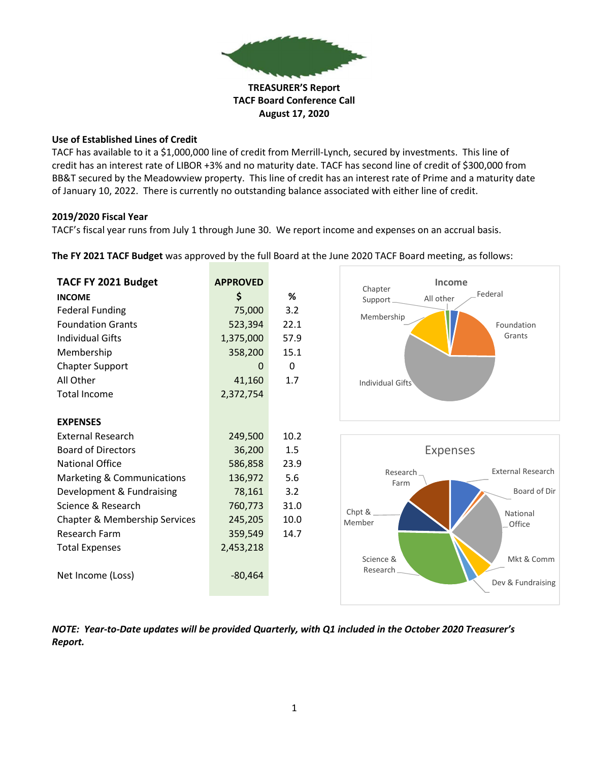

TACF Board Conference Call

August 17, 2020

## Use of Established Lines of Credit

TACF has available to it a \$1,000,000 line of credit from Merrill-Lynch, secured by investments. This line of credit has an interest rate of LIBOR +3% and no maturity date. TACF has second line of credit of \$300,000 from BB&T secured by the Meadowview property. This line of credit has an interest rate of Prime and a maturity date of January 10, 2022. There is currently no outstanding balance associated with either line of credit.

## 2019/2020 Fiscal Year

TACF's fiscal year runs from July 1 through June 30. We report income and expenses on an accrual basis.

The FY 2021 TACF Budget was approved by the full Board at the June 2020 TACF Board meeting, as follows:

| TACF FY 2021 Budget           | <b>APPROVED</b> |          | Income<br>Chapter                                        |  |
|-------------------------------|-----------------|----------|----------------------------------------------------------|--|
| <b>INCOME</b>                 | \$              | %        | Federal<br>All other<br>Support                          |  |
| <b>Federal Funding</b>        | 75,000          | 3.2      |                                                          |  |
| <b>Foundation Grants</b>      | 523,394         | 22.1     | Membership<br>Foundation                                 |  |
| <b>Individual Gifts</b>       | 1,375,000       | 57.9     | Grants                                                   |  |
| Membership                    | 358,200         | 15.1     |                                                          |  |
| <b>Chapter Support</b>        | $\Omega$        | $\Omega$ |                                                          |  |
| All Other                     | 41,160          | 1.7      | Individual Gifts                                         |  |
| <b>Total Income</b>           | 2,372,754       |          |                                                          |  |
|                               |                 |          |                                                          |  |
| <b>EXPENSES</b>               |                 |          |                                                          |  |
| <b>External Research</b>      | 249,500         | 10.2     |                                                          |  |
| <b>Board of Directors</b>     | 36,200          | 1.5      | <b>Expenses</b>                                          |  |
| <b>National Office</b>        | 586,858         | 23.9     |                                                          |  |
| Marketing & Communications    | 136,972         | 5.6      | <b>External Research</b><br>Research.<br>Farm            |  |
| Development & Fundraising     | 78,161          | 3.2      | Board of Dir                                             |  |
| Science & Research            | 760,773         | 31.0     | Chpt &                                                   |  |
| Chapter & Membership Services | 245,205         | 10.0     | National<br>Member<br>_Office                            |  |
| Research Farm                 | 359,549         | 14.7     |                                                          |  |
| <b>Total Expenses</b>         | 2,453,218       |          |                                                          |  |
| Net Income (Loss)             | $-80,464$       |          | Mkt & Comm<br>Science &<br>Research<br>Dev & Fundraising |  |

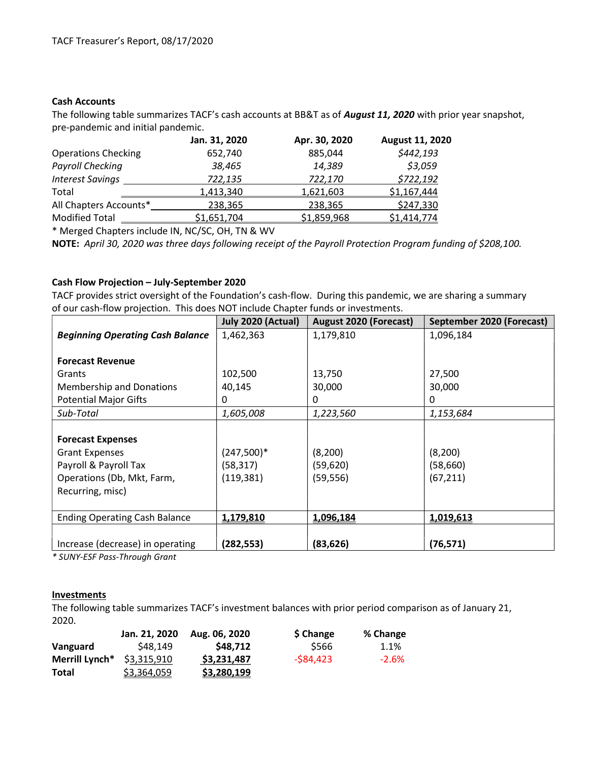### Cash Accounts

The following table summarizes TACF's cash accounts at BB&T as of **August 11, 2020** with prior year snapshot, pre-pandemic and initial pandemic.

|                            | Jan. 31, 2020 | Apr. 30, 2020 | August 11, 2020 |
|----------------------------|---------------|---------------|-----------------|
| <b>Operations Checking</b> | 652,740       | 885,044       | \$442,193       |
| <b>Payroll Checking</b>    | 38,465        | 14,389        | \$3,059         |
| <b>Interest Savings</b>    | 722,135       | 722,170       | \$722,192       |
| Total                      | 1,413,340     | 1,621,603     | \$1,167,444     |
| All Chapters Accounts*     | 238,365       | 238,365       | \$247,330       |
| <b>Modified Total</b>      | \$1,651,704   | \$1,859,968   | \$1,414,774     |

\* Merged Chapters include IN, NC/SC, OH, TN & WV

NOTE: April 30, 2020 was three days following receipt of the Payroll Protection Program funding of \$208,100.

#### Cash Flow Projection – July-September 2020

TACF provides strict oversight of the Foundation's cash-flow. During this pandemic, we are sharing a summary of our cash-flow projection. This does NOT include Chapter funds or investments.

|                                         | July 2020 (Actual) | <b>August 2020 (Forecast)</b> | September 2020 (Forecast) |
|-----------------------------------------|--------------------|-------------------------------|---------------------------|
| <b>Beginning Operating Cash Balance</b> | 1,462,363          | 1,179,810                     | 1,096,184                 |
|                                         |                    |                               |                           |
| <b>Forecast Revenue</b>                 |                    |                               |                           |
| Grants                                  | 102,500            | 13,750                        | 27,500                    |
| Membership and Donations                | 40,145             | 30,000                        | 30,000                    |
| <b>Potential Major Gifts</b>            | 0                  | 0                             | 0                         |
| Sub-Total                               | 1,605,008          | 1,223,560                     | 1,153,684                 |
|                                         |                    |                               |                           |
| <b>Forecast Expenses</b>                |                    |                               |                           |
| <b>Grant Expenses</b>                   | $(247,500)*$       | (8,200)                       | (8, 200)                  |
| Payroll & Payroll Tax                   | (58, 317)          | (59, 620)                     | (58,660)                  |
| Operations (Db, Mkt, Farm,              | (119, 381)         | (59, 556)                     | (67, 211)                 |
| Recurring, misc)                        |                    |                               |                           |
|                                         |                    |                               |                           |
| <b>Ending Operating Cash Balance</b>    | 1,179,810          | 1,096,184                     | 1,019,613                 |
|                                         |                    |                               |                           |
| Increase (decrease) in operating        | (282,553)          | (83, 626)                     | (76, 571)                 |

\* SUNY-ESF Pass-Through Grant

#### **Investments**

The following table summarizes TACF's investment balances with prior period comparison as of January 21, 2020.

|                | Jan. 21, 2020 | Aug. 06, 2020 | \$ Change  | % Change |
|----------------|---------------|---------------|------------|----------|
| Vanguard       | \$48.149      | \$48,712      | \$566      | 1.1%     |
| Merrill Lynch* | \$3,315,910   | \$3,231,487   | $-584,423$ | $-2.6%$  |
| Total          | \$3,364,059   | \$3,280,199   |            |          |